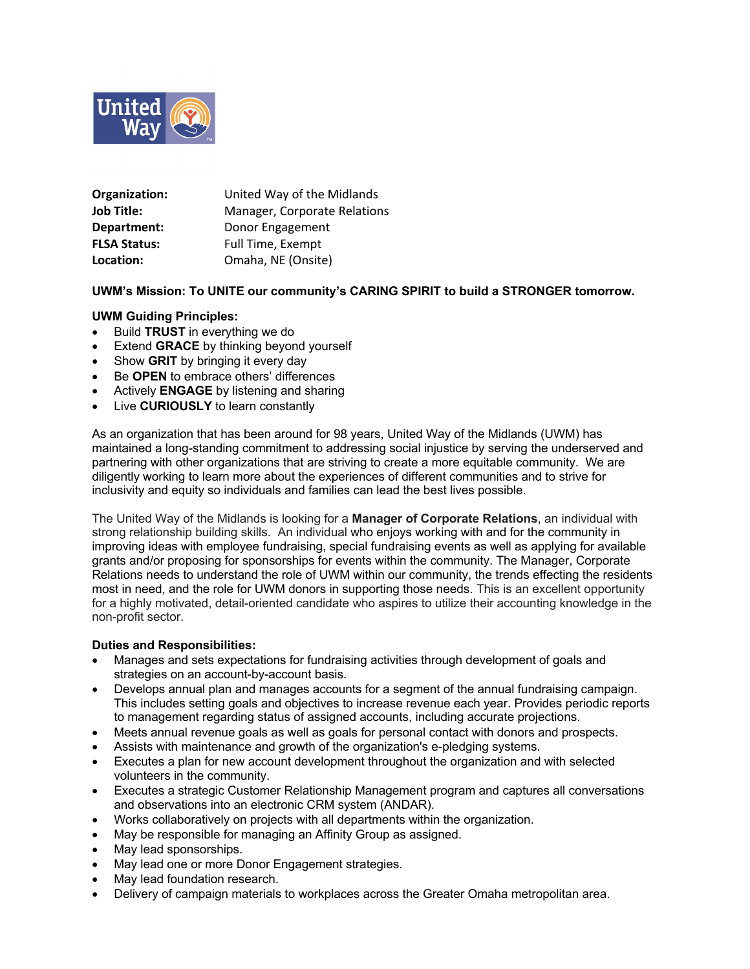

| Organization:       | United Way of the Midlands   |
|---------------------|------------------------------|
| <b>Job Title:</b>   | Manager, Corporate Relations |
| Department:         | Donor Engagement             |
| <b>FLSA Status:</b> | Full Time, Exempt            |
| Location:           | Omaha, NE (Onsite)           |

## **UWM's Mission: To UNITE our community's CARING SPIRIT to build a STRONGER tomorrow.**

## **UWM Guiding Principles:**

- Build **TRUST** in everything we do
- **Extend GRACE** by thinking beyond yourself
- Show **GRIT** by bringing it every day
- Be **OPEN** to embrace others' differences
- Actively **ENGAGE** by listening and sharing
- Live **CURIOUSLY** to learn constantly

As an organization that has been around for 98 years, United Way of the Midlands (UWM) has maintained a long-standing commitment to addressing social injustice by serving the underserved and partnering with other organizations that are striving to create a more equitable community. We are diligently working to learn more about the experiences of different communities and to strive for inclusivity and equity so individuals and families can lead the best lives possible.

The United Way of the Midlands is looking for a **Manager of Corporate Relations**, an individual with strong relationship building skills. An individual who enjoys working with and for the community in improving ideas with employee fundraising, special fundraising events as well as applying for available grants and/or proposing for sponsorships for events within the community. The Manager, Corporate Relations needs to understand the role of UWM within our community, the trends effecting the residents most in need, and the role for UWM donors in supporting those needs. This is an excellent opportunity for a highly motivated, detail-oriented candidate who aspires to utilize their accounting knowledge in the non-profit sector.

### **Duties and Responsibilities:**

- Manages and sets expectations for fundraising activities through development of goals and strategies on an account-by-account basis.
- Develops annual plan and manages accounts for a segment of the annual fundraising campaign. This includes setting goals and objectives to increase revenue each year. Provides periodic reports to management regarding status of assigned accounts, including accurate projections.
- Meets annual revenue goals as well as goals for personal contact with donors and prospects.
- Assists with maintenance and growth of the organization's e-pledging systems.
- Executes a plan for new account development throughout the organization and with selected volunteers in the community.
- Executes a strategic Customer Relationship Management program and captures all conversations and observations into an electronic CRM system (ANDAR).
- Works collaboratively on projects with all departments within the organization.
- May be responsible for managing an Affinity Group as assigned.
- May lead sponsorships.
- May lead one or more Donor Engagement strategies.
- May lead foundation research.
- Delivery of campaign materials to workplaces across the Greater Omaha metropolitan area.